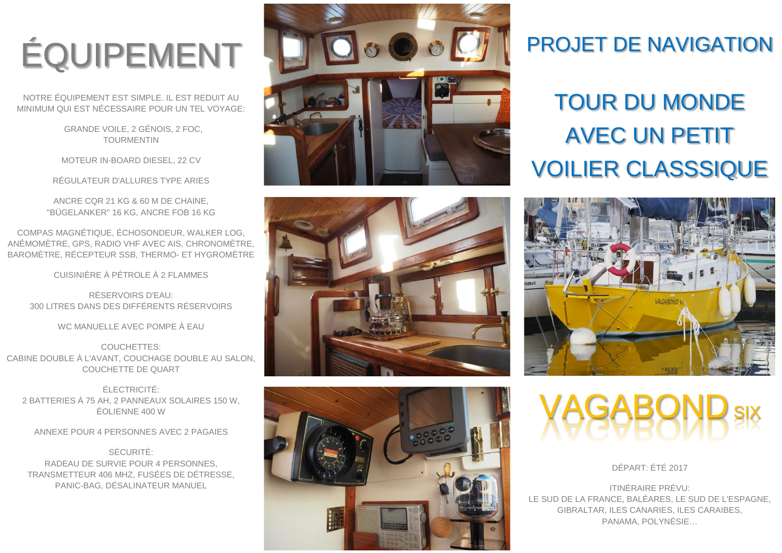# ÉQUIPEMENT

NOTRE ÉQUIPEMENT EST SIMPLE. IL EST REDUIT AU MINIMUM QUI EST NÉCESSAIRE POUR UN TEL VOYAGE:

> GRANDE VOILE, 2 GÉNOIS, 2 FOC, TOURMENTIN

MOTEUR IN-BOARD DIESEL, 22 CV

RÉGULATEUR D'ALLURES TYPE ARIES

ANCRE CQR 21 KG & 60 M DE CHAINE, "BÜGELANKER" 16 KG, ANCRE FOB 16 KG

COMPAS MAGNÉTIQUE, ÉCHOSONDEUR, WALKER LOG, ANÉMOMÈTRE, GPS, RADIO VHF AVEC AIS, CHRONOMÈTRE, BAROMÈTRE, RÉCEPTEUR SSB, THERMO- ET HYGROMÈTRE

CUISINIÈRE À PÉTROLE À 2 FLAMMES

RÉSERVOIRS D'EAU: 300 LITRES DANS DES DIFFÉRENTS RÉSERVOIRS

WC MANUELLE AVEC POMPE À EAU

COUCHETTES: CABINE DOUBLE À L'AVANT, COUCHAGE DOUBLE AU SALON, COUCHETTE DE QUART

ÉLECTRICITÉ: 2 BATTERIES À 75 AH, 2 PANNEAUX SOLAIRES 150 W, ÉOLIENNE 400 W

ANNEXE POUR 4 PERSONNES AVEC 2 PAGAIES

SÉCURITÉ: RADEAU DE SURVIE POUR 4 PERSONNES, TRANSMETTEUR 406 MHZ, FUSÉES DE DÉTRESSE, PANIC-BAG, DÉSALINATEUR MANUEL







### PROJET DE NAVIGATION

### TOUR DU MONDE AVEC UN PETIT VOILIER CLASSSIQUE



**VAGABOND** SIX

DÉPART: ÉTÉ 2017

ITINÉRAIRE PRÉVU: LE SUD DE LA FRANCE, BALÉARES, LE SUD DE L'ESPAGNE, GIBRALTAR, ILES CANARIES, ILES CARAIBES, PANAMA, POLYNÉSIE…